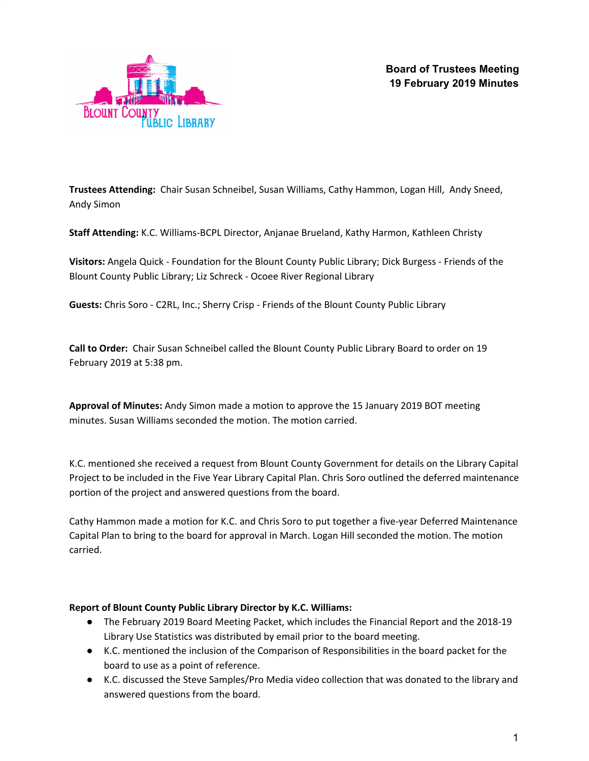

**Trustees Attending:** Chair Susan Schneibel, Susan Williams, Cathy Hammon, Logan Hill, Andy Sneed, Andy Simon

**Staff Attending:** K.C. Williams-BCPL Director, Anjanae Brueland, Kathy Harmon, Kathleen Christy

**Visitors:** Angela Quick - Foundation for the Blount County Public Library; Dick Burgess - Friends of the Blount County Public Library; Liz Schreck - Ocoee River Regional Library

**Guests:** Chris Soro - C2RL, Inc.; Sherry Crisp - Friends of the Blount County Public Library

**Call to Order:** Chair Susan Schneibel called the Blount County Public Library Board to order on 19 February 2019 at 5:38 pm.

**Approval of Minutes:** Andy Simon made a motion to approve the 15 January 2019 BOT meeting minutes. Susan Williams seconded the motion. The motion carried.

K.C. mentioned she received a request from Blount County Government for details on the Library Capital Project to be included in the Five Year Library Capital Plan. Chris Soro outlined the deferred maintenance portion of the project and answered questions from the board.

Cathy Hammon made a motion for K.C. and Chris Soro to put together a five-year Deferred Maintenance Capital Plan to bring to the board for approval in March. Logan Hill seconded the motion. The motion carried.

# **Report of Blount County Public Library Director by K.C. Williams:**

- The February 2019 Board Meeting Packet, which includes the Financial Report and the 2018-19 Library Use Statistics was distributed by email prior to the board meeting.
- K.C. mentioned the inclusion of the Comparison of Responsibilities in the board packet for the board to use as a point of reference.
- K.C. discussed the Steve Samples/Pro Media video collection that was donated to the library and answered questions from the board.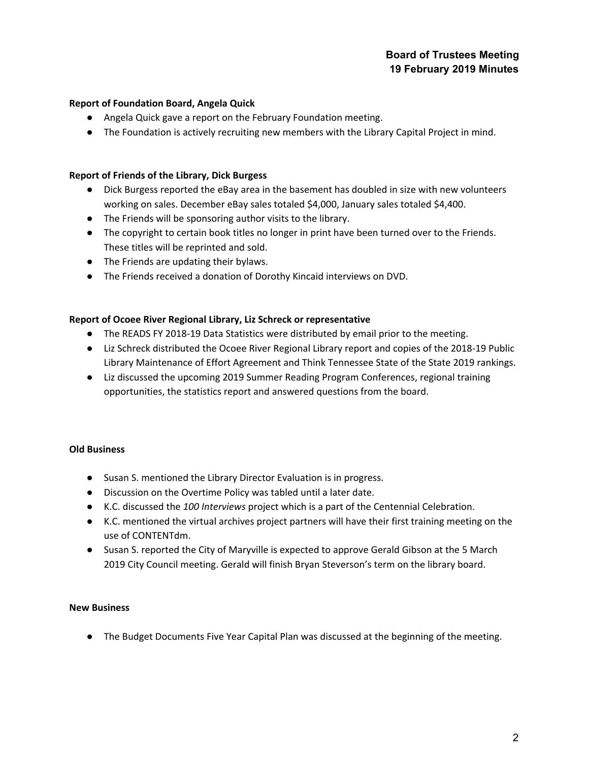# **Board of Trustees Meeting 19 February 2019 Minutes**

# **Report of Foundation Board, Angela Quick**

- Angela Quick gave a report on the February Foundation meeting.
- The Foundation is actively recruiting new members with the Library Capital Project in mind.

#### **Report of Friends of the Library, Dick Burgess**

- Dick Burgess reported the eBay area in the basement has doubled in size with new volunteers working on sales. December eBay sales totaled \$4,000, January sales totaled \$4,400.
- The Friends will be sponsoring author visits to the library.
- The copyright to certain book titles no longer in print have been turned over to the Friends. These titles will be reprinted and sold.
- The Friends are updating their bylaws.
- The Friends received a donation of Dorothy Kincaid interviews on DVD.

### **Report of Ocoee River Regional Library, Liz Schreck or representative**

- The READS FY 2018-19 Data Statistics were distributed by email prior to the meeting.
- Liz Schreck distributed the Ocoee River Regional Library report and copies of the 2018-19 Public Library Maintenance of Effort Agreement and Think Tennessee State of the State 2019 rankings.
- Liz discussed the upcoming 2019 Summer Reading Program Conferences, regional training opportunities, the statistics report and answered questions from the board.

### **Old Business**

- Susan S. mentioned the Library Director Evaluation is in progress.
- Discussion on the Overtime Policy was tabled until a later date.
- K.C. discussed the *100 Interviews* project which is a part of the Centennial Celebration.
- K.C. mentioned the virtual archives project partners will have their first training meeting on the use of CONTENTdm.
- Susan S. reported the City of Maryville is expected to approve Gerald Gibson at the 5 March 2019 City Council meeting. Gerald will finish Bryan Steverson's term on the library board.

# **New Business**

● The Budget Documents Five Year Capital Plan was discussed at the beginning of the meeting.